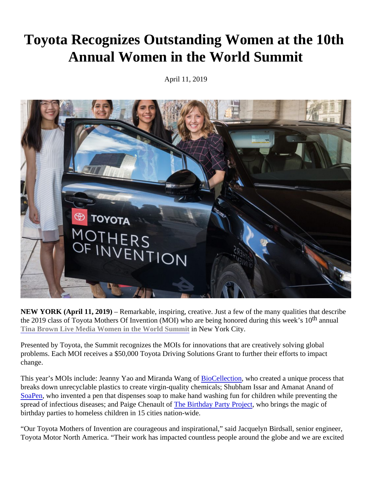## Toyota Recognizes Outstanding Women at the 10th Annual Women in the World Summit

April 11, 2019

NEW YORK (April 11, 2019) – Remarkable, inspiring, creative. Just a few of the many qualities that describe the 2019 class of Toyota Mothers Of Invention (MOI) who are being honored during this week annual [Tina Brown Live Media Women in the World Summit](https://womenintheworld.com/events/women-in-the-world-summit-2019/) in New York City.

Presented by Toyota, the Summit recognizes the MOIs for innovations that are creatively solving global problems. Each MOI receives a \$50,000 Toyota Driving Solutions Grant to further their efforts to impact change.

This year's MOIs include: Jeanny Yao and Miranda WangioCellection who created a unique process that breaks down unrecyclable plastics to create virgin-quality chemicals; Shubham Issar and Amanat Anand of [SoaPe](https://soapen.com/)nwho invented a pen that dispenses soap to make hand washing fun for children while preventing the spread of infectious diseases; and Paige Chenaulted Birthday Party Project tho brings the magic of birthday parties to homeless children in 15 cities nation-wide.

"Our Toyota Mothers of Invention are courageous and inspirational," said Jacquelyn Birdsall, senior engineer, Toyota Motor North America. "Their work has impacted countless people around the globe and we are excited